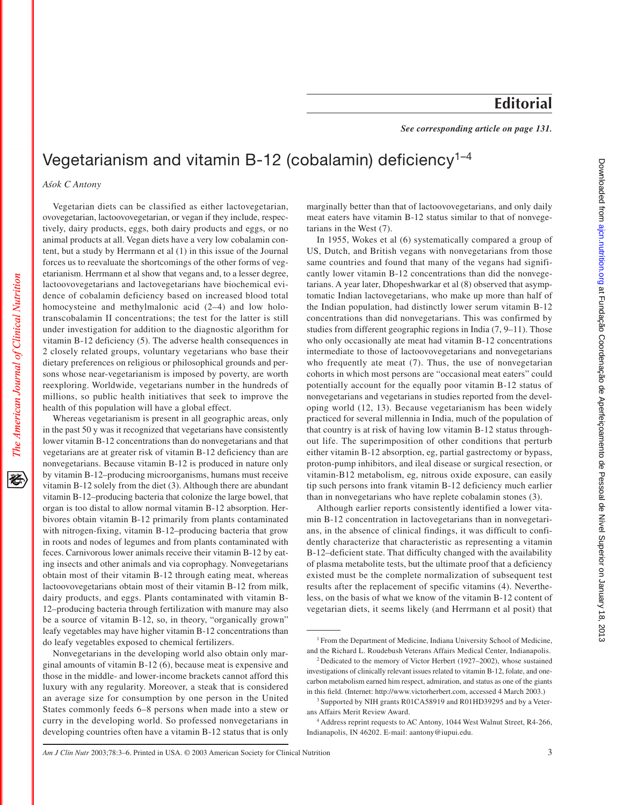## **Editorial**

*See corresponding article on page 131.*

## Vegetarianism and vitamin B-12 (cobalamin) deficiency<sup>1-4</sup>

*A´sok C Antony*

The American Journal of Clinical Nutrition

姿

Vegetarian diets can be classified as either lactovegetarian, ovovegetarian, lactoovovegetarian, or vegan if they include, respectively, dairy products, eggs, both dairy products and eggs, or no animal products at all. Vegan diets have a very low cobalamin content, but a study by Herrmann et al (1) in this issue of the Journal forces us to reevaluate the shortcomings of the other forms of vegetarianism. Herrmann et al show that vegans and, to a lesser degree, lactoovovegetarians and lactovegetarians have biochemical evidence of cobalamin deficiency based on increased blood total homocysteine and methylmalonic acid  $(2-4)$  and low holotranscobalamin II concentrations; the test for the latter is still under investigation for addition to the diagnostic algorithm for vitamin B-12 deficiency (5). The adverse health consequences in 2 closely related groups, voluntary vegetarians who base their dietary preferences on religious or philosophical grounds and persons whose near-vegetarianism is imposed by poverty, are worth reexploring. Worldwide, vegetarians number in the hundreds of millions, so public health initiatives that seek to improve the health of this population will have a global effect.

Whereas vegetarianism is present in all geographic areas, only in the past 50 y was it recognized that vegetarians have consistently lower vitamin B-12 concentrations than do nonvegetarians and that vegetarians are at greater risk of vitamin B-12 deficiency than are nonvegetarians. Because vitamin B-12 is produced in nature only by vitamin B-12–producing microorganisms, humans must receive vitamin B-12 solely from the diet (3). Although there are abundant vitamin B-12–producing bacteria that colonize the large bowel, that organ is too distal to allow normal vitamin B-12 absorption. Herbivores obtain vitamin B-12 primarily from plants contaminated with nitrogen-fixing, vitamin B-12–producing bacteria that grow in roots and nodes of legumes and from plants contaminated with feces. Carnivorous lower animals receive their vitamin B-12 by eating insects and other animals and via coprophagy. Nonvegetarians obtain most of their vitamin B-12 through eating meat, whereas lactoovovegetarians obtain most of their vitamin B-12 from milk, dairy products, and eggs. Plants contaminated with vitamin B-12–producing bacteria through fertilization with manure may also be a source of vitamin B-12, so, in theory, "organically grown" leafy vegetables may have higher vitamin B-12 concentrations than do leafy vegetables exposed to chemical fertilizers.

Nonvegetarians in the developing world also obtain only marginal amounts of vitamin B-12 (6), because meat is expensive and those in the middle- and lower-income brackets cannot afford this luxury with any regularity. Moreover, a steak that is considered an average size for consumption by one person in the United States commonly feeds 6–8 persons when made into a stew or curry in the developing world. So professed nonvegetarians in developing countries often have a vitamin B-12 status that is only

marginally better than that of lactoovovegetarians, and only daily meat eaters have vitamin B-12 status similar to that of nonvegetarians in the West (7).

In 1955, Wokes et al (6) systematically compared a group of US, Dutch, and British vegans with nonvegetarians from those same countries and found that many of the vegans had significantly lower vitamin B-12 concentrations than did the nonvegetarians. A year later, Dhopeshwarkar et al (8) observed that asymptomatic Indian lactovegetarians, who make up more than half of the Indian population, had distinctly lower serum vitamin B-12 concentrations than did nonvegetarians. This was confirmed by studies from different geographic regions in India (7, 9–11). Those who only occasionally ate meat had vitamin B-12 concentrations intermediate to those of lactoovovegetarians and nonvegetarians who frequently ate meat (7). Thus, the use of nonvegetarian cohorts in which most persons are "occasional meat eaters" could potentially account for the equally poor vitamin B-12 status of nonvegetarians and vegetarians in studies reported from the developing world (12, 13). Because vegetarianism has been widely practiced for several millennia in India, much of the population of that country is at risk of having low vitamin B-12 status throughout life. The superimposition of other conditions that perturb either vitamin B-12 absorption, eg, partial gastrectomy or bypass, proton-pump inhibitors, and ileal disease or surgical resection, or vitamin-B12 metabolism, eg, nitrous oxide exposure, can easily tip such persons into frank vitamin B-12 deficiency much earlier than in nonvegetarians who have replete cobalamin stones (3).

Although earlier reports consistently identified a lower vitamin B-12 concentration in lactovegetarians than in nonvegetarians, in the absence of clinical findings, it was difficult to confidently characterize that characteristic as representing a vitamin B-12–deficient state. That difficulty changed with the availability of plasma metabolite tests, but the ultimate proof that a deficiency existed must be the complete normalization of subsequent test results after the replacement of specific vitamins (4). Nevertheless, on the basis of what we know of the vitamin B-12 content of vegetarian diets, it seems likely (and Herrmann et al posit) that

<sup>&</sup>lt;sup>1</sup> From the Department of Medicine, Indiana University School of Medicine, and the Richard L. Roudebush Veterans Affairs Medical Center, Indianapolis.

<sup>2</sup> Dedicated to the memory of Victor Herbert (1927–2002), whose sustained investigations of clinically relevant issues related to vitamin B-12, folate, and onecarbon metabolism earned him respect, admiration, and status as one of the giants in this field. (Internet: http://www.victorherbert.com, accessed 4 March 2003.)

<sup>&</sup>lt;sup>3</sup> Supported by NIH grants R01CA58919 and R01HD39295 and by a Veterans Affairs Merit Review Award.

<sup>&</sup>lt;sup>4</sup> Address reprint requests to AC Antony, 1044 West Walnut Street, R4-266, Indianapolis, IN 46202. E-mail: aantony@iupui.edu.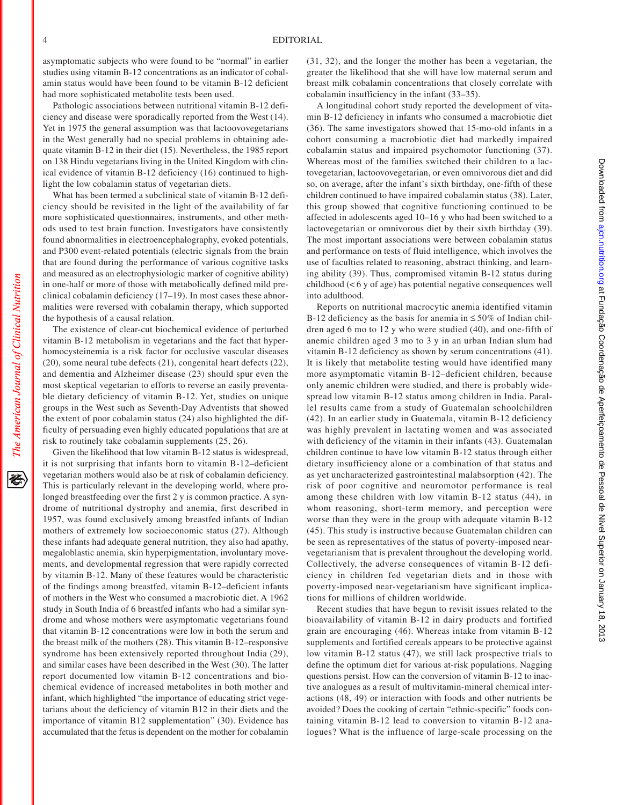asymptomatic subjects who were found to be "normal" in earlier studies using vitamin B-12 concentrations as an indicator of cobalamin status would have been found to be vitamin B-12 deficient had more sophisticated metabolite tests been used.

Pathologic associations between nutritional vitamin B-12 deficiency and disease were sporadically reported from the West (14). Yet in 1975 the general assumption was that lactoovovegetarians in the West generally had no special problems in obtaining adequate vitamin B-12 in their diet (15). Nevertheless, the 1985 report on 138 Hindu vegetarians living in the United Kingdom with clinical evidence of vitamin B-12 deficiency (16) continued to highlight the low cobalamin status of vegetarian diets.

What has been termed a subclinical state of vitamin B-12 deficiency should be revisited in the light of the availability of far more sophisticated questionnaires, instruments, and other methods used to test brain function. Investigators have consistently found abnormalities in electroencephalography, evoked potentials, and P300 event-related potentials (electric signals from the brain that are found during the performance of various cognitive tasks and measured as an electrophysiologic marker of cognitive ability) in one-half or more of those with metabolically defined mild preclinical cobalamin deficiency (17–19). In most cases these abnormalities were reversed with cobalamin therapy, which supported the hypothesis of a causal relation.

The existence of clear-cut biochemical evidence of perturbed vitamin B-12 metabolism in vegetarians and the fact that hyperhomocysteinemia is a risk factor for occlusive vascular diseases (20), some neural tube defects (21), congenital heart defects (22), and dementia and Alzheimer disease (23) should spur even the most skeptical vegetarian to efforts to reverse an easily preventable dietary deficiency of vitamin B-12. Yet, studies on unique groups in the West such as Seventh-Day Adventists that showed the extent of poor cobalamin status (24) also highlighted the difficulty of persuading even highly educated populations that are at risk to routinely take cobalamin supplements (25, 26).

Given the likelihood that low vitamin B-12 status is widespread, it is not surprising that infants born to vitamin B-12–deficient vegetarian mothers would also be at risk of cobalamin deficiency. This is particularly relevant in the developing world, where prolonged breastfeeding over the first 2 y is common practice. A syndrome of nutritional dystrophy and anemia, first described in 1957, was found exclusively among breastfed infants of Indian mothers of extremely low socioeconomic status (27). Although these infants had adequate general nutrition, they also had apathy, megaloblastic anemia, skin hyperpigmentation, involuntary movements, and developmental regression that were rapidly corrected by vitamin B-12. Many of these features would be characteristic of the findings among breastfed, vitamin B-12–deficient infants of mothers in the West who consumed a macrobiotic diet. A 1962 study in South India of 6 breastfed infants who had a similar syndrome and whose mothers were asymptomatic vegetarians found that vitamin B-12 concentrations were low in both the serum and the breast milk of the mothers (28). This vitamin B-12–responsive syndrome has been extensively reported throughout India (29), and similar cases have been described in the West (30). The latter report documented low vitamin B-12 concentrations and biochemical evidence of increased metabolites in both mother and infant, which highlighted "the importance of educating strict vegetarians about the deficiency of vitamin B12 in their diets and the importance of vitamin B12 supplementation" (30). Evidence has accumulated that the fetus is dependent on the mother for cobalamin

(31, 32), and the longer the mother has been a vegetarian, the greater the likelihood that she will have low maternal serum and breast milk cobalamin concentrations that closely correlate with cobalamin insufficiency in the infant (33–35).

A longitudinal cohort study reported the development of vitamin B-12 deficiency in infants who consumed a macrobiotic diet (36). The same investigators showed that 15-mo-old infants in a cohort consuming a macrobiotic diet had markedly impaired cobalamin status and impaired psychomotor functioning (37). Whereas most of the families switched their children to a lactovegetarian, lactoovovegetarian, or even omnivorous diet and did so, on average, after the infant's sixth birthday, one-fifth of these children continued to have impaired cobalamin status (38). Later, this group showed that cognitive functioning continued to be affected in adolescents aged 10–16 y who had been switched to a lactovegetarian or omnivorous diet by their sixth birthday (39). The most important associations were between cobalamin status and performance on tests of fluid intelligence, which involves the use of faculties related to reasoning, abstract thinking, and learning ability (39). Thus, compromised vitamin B-12 status during childhood (< 6 y of age) has potential negative consequences well into adulthood.

Reports on nutritional macrocytic anemia identified vitamin B-12 deficiency as the basis for anemia in  $\leq 50\%$  of Indian children aged 6 mo to 12 y who were studied (40), and one-fifth of anemic children aged 3 mo to 3 y in an urban Indian slum had vitamin B-12 deficiency as shown by serum concentrations (41). It is likely that metabolite testing would have identified many more asymptomatic vitamin B-12–deficient children, because only anemic children were studied, and there is probably widespread low vitamin B-12 status among children in India. Parallel results came from a study of Guatemalan schoolchildren (42). In an earlier study in Guatemala, vitamin B-12 deficiency was highly prevalent in lactating women and was associated with deficiency of the vitamin in their infants (43). Guatemalan children continue to have low vitamin B-12 status through either dietary insufficiency alone or a combination of that status and as yet uncharacterized gastrointestinal malabsorption (42). The risk of poor cognitive and neuromotor performance is real among these children with low vitamin B-12 status (44), in whom reasoning, short-term memory, and perception were worse than they were in the group with adequate vitamin B-12 (45). This study is instructive because Guatemalan children can be seen as representatives of the status of poverty-imposed nearvegetarianism that is prevalent throughout the developing world. Collectively, the adverse consequences of vitamin B-12 deficiency in children fed vegetarian diets and in those with poverty-imposed near-vegetarianism have significant implications for millions of children worldwide.

Recent studies that have begun to revisit issues related to the bioavailability of vitamin B-12 in dairy products and fortified grain are encouraging (46). Whereas intake from vitamin B-12 supplements and fortified cereals appears to be protective against low vitamin B-12 status (47), we still lack prospective trials to define the optimum diet for various at-risk populations. Nagging questions persist. How can the conversion of vitamin B-12 to inactive analogues as a result of multivitamin-mineral chemical interactions (48, 49) or interaction with foods and other nutrients be avoided? Does the cooking of certain "ethnic-specific" foods containing vitamin B-12 lead to conversion to vitamin B-12 analogues? What is the influence of large-scale processing on the

袳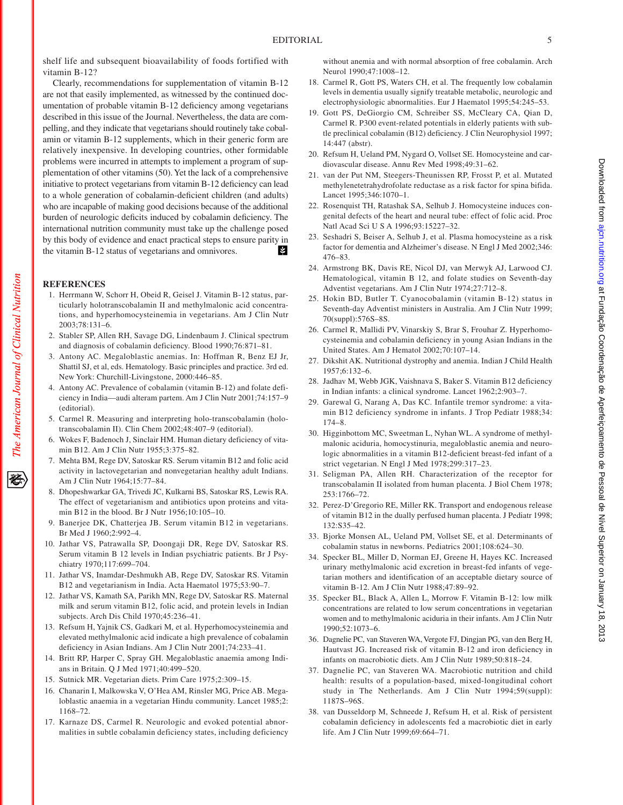shelf life and subsequent bioavailability of foods fortified with vitamin B-12?

Clearly, recommendations for supplementation of vitamin B-12 are not that easily implemented, as witnessed by the continued documentation of probable vitamin B-12 deficiency among vegetarians described in this issue of the Journal. Nevertheless, the data are compelling, and they indicate that vegetarians should routinely take cobalamin or vitamin B-12 supplements, which in their generic form are relatively inexpensive. In developing countries, other formidable problems were incurred in attempts to implement a program of supplementation of other vitamins (50). Yet the lack of a comprehensive initiative to protect vegetarians from vitamin B-12 deficiency can lead to a whole generation of cobalamin-deficient children (and adults) who are incapable of making good decisions because of the additional burden of neurologic deficits induced by cobalamin deficiency. The international nutrition community must take up the challenge posed by this body of evidence and enact practical steps to ensure parity in 宰 the vitamin B-12 status of vegetarians and omnivores.

## **REFERENCES**

- 1. Herrmann W, Schorr H, Obeid R, Geisel J. Vitamin B-12 status, particularly holotranscobalamin II and methylmalonic acid concentrations, and hyperhomocysteinemia in vegetarians. Am J Clin Nutr 2003;78:131–6.
- 2. Stabler SP, Allen RH, Savage DG, Lindenbaum J. Clinical spectrum and diagnosis of cobalamin deficiency. Blood 1990;76:871–81.
- 3. Antony AC. Megaloblastic anemias. In: Hoffman R, Benz EJ Jr, Shattil SJ, et al, eds. Hematology. Basic principles and practice. 3rd ed. New York: Churchill-Livingstone, 2000:446–85.
- 4. Antony AC. Prevalence of cobalamin (vitamin B-12) and folate deficiency in India—audi alteram partem. Am J Clin Nutr 2001;74:157–9 (editorial).
- 5. Carmel R. Measuring and interpreting holo-transcobalamin (holotranscobalamin II). Clin Chem 2002;48:407–9 (editorial).
- 6. Wokes F, Badenoch J, Sinclair HM. Human dietary deficiency of vitamin B12. Am J Clin Nutr 1955;3:375–82.
- 7. Mehta BM, Rege DV, Satoskar RS. Serum vitamin B12 and folic acid activity in lactovegetarian and nonvegetarian healthy adult Indians. Am J Clin Nutr 1964;15:77–84.
- 8. Dhopeshwarkar GA, Trivedi JC, Kulkarni BS, Satoskar RS, Lewis RA. The effect of vegetarianism and antibiotics upon proteins and vitamin B12 in the blood. Br J Nutr 1956;10:105–10.
- Banerjee DK, Chatterjea JB. Serum vitamin B12 in vegetarians. Br Med J 1960;2:992–4.
- 10. Jathar VS, Patrawalla SP, Doongaji DR, Rege DV, Satoskar RS. Serum vitamin B 12 levels in Indian psychiatric patients. Br J Psychiatry 1970;117:699–704.
- 11. Jathar VS, Inamdar-Deshmukh AB, Rege DV, Satoskar RS. Vitamin B12 and vegetarianism in India. Acta Haematol 1975;53:90–7.
- 12. Jathar VS, Kamath SA, Parikh MN, Rege DV, Satoskar RS. Maternal milk and serum vitamin B12, folic acid, and protein levels in Indian subjects. Arch Dis Child 1970;45:236–41.
- 13. Refsum H, Yajnik CS, Gadkari M, et al. Hyperhomocysteinemia and elevated methylmalonic acid indicate a high prevalence of cobalamin deficiency in Asian Indians. Am J Clin Nutr 2001;74:233–41.
- 14. Britt RP, Harper C, Spray GH. Megaloblastic anaemia among Indians in Britain. Q J Med 1971;40:499–520.
- 15. Sutnick MR. Vegetarian diets. Prim Care 1975;2:309–15.
- 16. Chanarin I, Malkowska V, O'Hea AM, Rinsler MG, Price AB. Megaloblastic anaemia in a vegetarian Hindu community. Lancet 1985;2: 1168–72.
- 17. Karnaze DS, Carmel R. Neurologic and evoked potential abnormalities in subtle cobalamin deficiency states, including deficiency

without anemia and with normal absorption of free cobalamin. Arch Neurol 1990;47:1008–12.

- 18. Carmel R, Gott PS, Waters CH, et al. The frequently low cobalamin levels in dementia usually signify treatable metabolic, neurologic and electrophysiologic abnormalities. Eur J Haematol 1995;54:245–53.
- 19. Gott PS, DeGiorgio CM, Schreiber SS, McCleary CA, Qian D, Carmel R. P300 event-related potentials in elderly patients with subtle preclinical cobalamin (B12) deficiency. J Clin Neurophysiol 1997; 14:447 (abstr).
- 20. Refsum H, Ueland PM, Nygard O, Vollset SE. Homocysteine and cardiovascular disease. Annu Rev Med 1998;49:31–62.
- 21. van der Put NM, Steegers-Theunissen RP, Frosst P, et al. Mutated methylenetetrahydrofolate reductase as a risk factor for spina bifida. Lancet 1995;346:1070–1.
- 22. Rosenquist TH, Ratashak SA, Selhub J. Homocysteine induces congenital defects of the heart and neural tube: effect of folic acid. Proc Natl Acad Sci U S A 1996;93:15227–32.
- 23. Seshadri S, Beiser A, Selhub J, et al. Plasma homocysteine as a risk factor for dementia and Alzheimer's disease. N Engl J Med 2002;346: 476–83.
- 24. Armstrong BK, Davis RE, Nicol DJ, van Merwyk AJ, Larwood CJ. Hematological, vitamin B 12, and folate studies on Seventh-day Adventist vegetarians. Am J Clin Nutr 1974;27:712–8.
- 25. Hokin BD, Butler T. Cyanocobalamin (vitamin B-12) status in Seventh-day Adventist ministers in Australia. Am J Clin Nutr 1999; 70(suppl):576S–8S.
- 26. Carmel R, Mallidi PV, Vinarskiy S, Brar S, Frouhar Z. Hyperhomocysteinemia and cobalamin deficiency in young Asian Indians in the United States. Am J Hematol 2002;70:107–14.
- 27. Dikshit AK. Nutritional dystrophy and anemia. Indian J Child Health 1957;6:132–6.
- 28. Jadhav M, Webb JGK, Vaishnava S, Baker S. Vitamin B12 deficiency in Indian infants: a clinical syndrome. Lancet 1962;2:903–7.
- 29. Garewal G, Narang A, Das KC. Infantile tremor syndrome: a vitamin B12 deficiency syndrome in infants. J Trop Pediatr 1988;34: 174–8.
- 30. Higginbottom MC, Sweetman L, Nyhan WL. A syndrome of methylmalonic aciduria, homocystinuria, megaloblastic anemia and neurologic abnormalities in a vitamin B12-deficient breast-fed infant of a strict vegetarian. N Engl J Med 1978;299:317–23.
- 31. Seligman PA, Allen RH. Characterization of the receptor for transcobalamin II isolated from human placenta. J Biol Chem 1978; 253:1766–72.
- 32. Perez-D'Gregorio RE, Miller RK. Transport and endogenous release of vitamin B12 in the dually perfused human placenta. J Pediatr 1998; 132:S35–42.
- 33. Bjorke Monsen AL, Ueland PM, Vollset SE, et al. Determinants of cobalamin status in newborns. Pediatrics 2001;108:624–30.
- 34. Specker BL, Miller D, Norman EJ, Greene H, Hayes KC. Increased urinary methylmalonic acid excretion in breast-fed infants of vegetarian mothers and identification of an acceptable dietary source of vitamin B-12. Am J Clin Nutr 1988;47:89–92.
- 35. Specker BL, Black A, Allen L, Morrow F. Vitamin B-12: low milk concentrations are related to low serum concentrations in vegetarian women and to methylmalonic aciduria in their infants. Am J Clin Nutr 1990;52:1073–6.
- 36. Dagnelie PC, van Staveren WA, Vergote FJ, Dingjan PG, van den Berg H, Hautvast JG. Increased risk of vitamin B-12 and iron deficiency in infants on macrobiotic diets. Am J Clin Nutr 1989;50:818–24.
- 37. Dagnelie PC, van Staveren WA. Macrobiotic nutrition and child health: results of a population-based, mixed-longitudinal cohort study in The Netherlands. Am J Clin Nutr 1994;59(suppl): 1187S–96S.
- 38. van Dusseldorp M, Schneede J, Refsum H, et al. Risk of persistent cobalamin deficiency in adolescents fed a macrobiotic diet in early life. Am J Clin Nutr 1999;69:664–71.